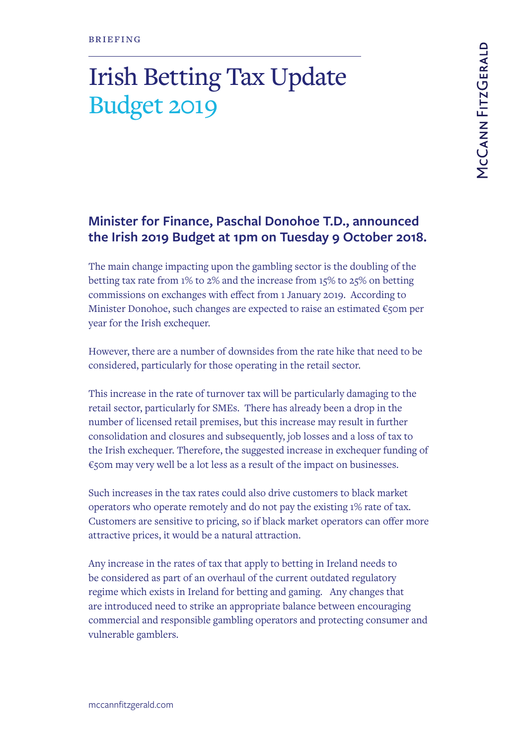## Irish Betting Tax Update Budget 2019

## **Minister for Finance, Paschal Donohoe T.D., announced the Irish 2019 Budget at 1pm on Tuesday 9 October 2018.**

The main change impacting upon the gambling sector is the doubling of the betting tax rate from 1% to 2% and the increase from 15% to 25% on betting commissions on exchanges with effect from 1 January 2019. According to Minister Donohoe, such changes are expected to raise an estimated €50m per year for the Irish exchequer.

However, there are a number of downsides from the rate hike that need to be considered, particularly for those operating in the retail sector.

This increase in the rate of turnover tax will be particularly damaging to the retail sector, particularly for SMEs. There has already been a drop in the number of licensed retail premises, but this increase may result in further consolidation and closures and subsequently, job losses and a loss of tax to the Irish exchequer. Therefore, the suggested increase in exchequer funding of €50m may very well be a lot less as a result of the impact on businesses.

Such increases in the tax rates could also drive customers to black market operators who operate remotely and do not pay the existing 1% rate of tax. Customers are sensitive to pricing, so if black market operators can offer more attractive prices, it would be a natural attraction.

Any increase in the rates of tax that apply to betting in Ireland needs to be considered as part of an overhaul of the current outdated regulatory regime which exists in Ireland for betting and gaming. Any changes that are introduced need to strike an appropriate balance between encouraging commercial and responsible gambling operators and protecting consumer and vulnerable gamblers.